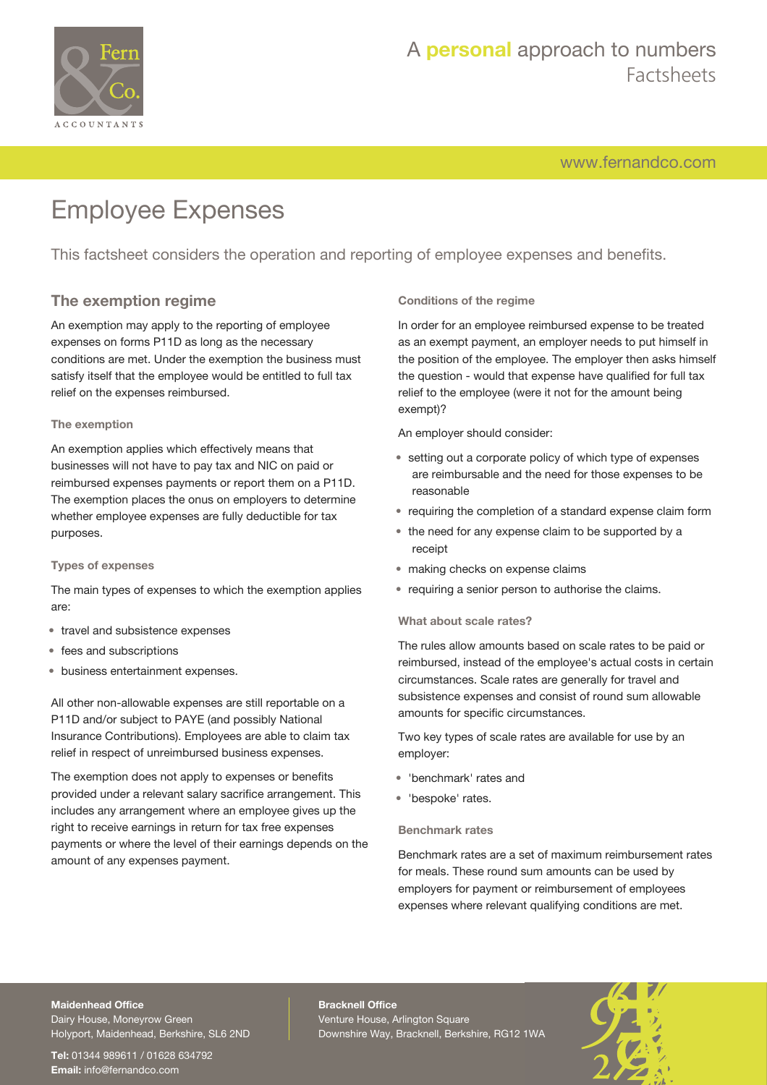

# A **personal** approach to numbers Factsheets

[www.fernandco.com](http://www.fernandco.com)

# Employee Expenses

This factsheet considers the operation and reporting of employee expenses and benefits.

# **The exemption regime**

An exemption may apply to the reporting of employee expenses on forms P11D as long as the necessary conditions are met. Under the exemption the business must satisfy itself that the employee would be entitled to full tax relief on the expenses reimbursed.

### **The exemption**

An exemption applies which effectively means that businesses will not have to pay tax and NIC on paid or reimbursed expenses payments or report them on a P11D. The exemption places the onus on employers to determine whether employee expenses are fully deductible for tax purposes.

### **Types of expenses**

The main types of expenses to which the exemption applies are:

- travel and subsistence expenses
- fees and subscriptions
- business entertainment expenses.

All other non-allowable expenses are still reportable on a P11D and/or subject to PAYE (and possibly National Insurance Contributions). Employees are able to claim tax relief in respect of unreimbursed business expenses.

The exemption does not apply to expenses or benefits provided under a relevant salary sacrifice arrangement. This includes any arrangement where an employee gives up the right to receive earnings in return for tax free expenses payments or where the level of their earnings depends on the amount of any expenses payment.

### **Conditions of the regime**

In order for an employee reimbursed expense to be treated as an exempt payment, an employer needs to put himself in the position of the employee. The employer then asks himself the question - would that expense have qualified for full tax relief to the employee (were it not for the amount being exempt)?

An employer should consider:

- setting out a corporate policy of which type of expenses are reimbursable and the need for those expenses to be reasonable
- requiring the completion of a standard expense claim form
- the need for any expense claim to be supported by a receipt
- making checks on expense claims
- requiring a senior person to authorise the claims.

### **What about scale rates?**

The rules allow amounts based on scale rates to be paid or reimbursed, instead of the employee's actual costs in certain circumstances. Scale rates are generally for travel and subsistence expenses and consist of round sum allowable amounts for specific circumstances.

Two key types of scale rates are available for use by an employer:

- 'benchmark' rates and
- 'bespoke' rates.

#### **Benchmark rates**

Benchmark rates are a set of maximum reimbursement rates for meals. These round sum amounts can be used by employers for payment or reimbursement of employees expenses where relevant qualifying conditions are met.

# **Maidenhead Office**

Dairy House, Moneyrow Green Holyport, Maidenhead, Berkshire, SL6 2ND

**Tel:** 01344 989611 / 01628 634792 **Email:** [info@fernandco.com](mailto:info@fernandco.com)

**Bracknell Office** Venture House, Arlington Square Downshire Way, Bracknell, Berkshire, RG12 1WA

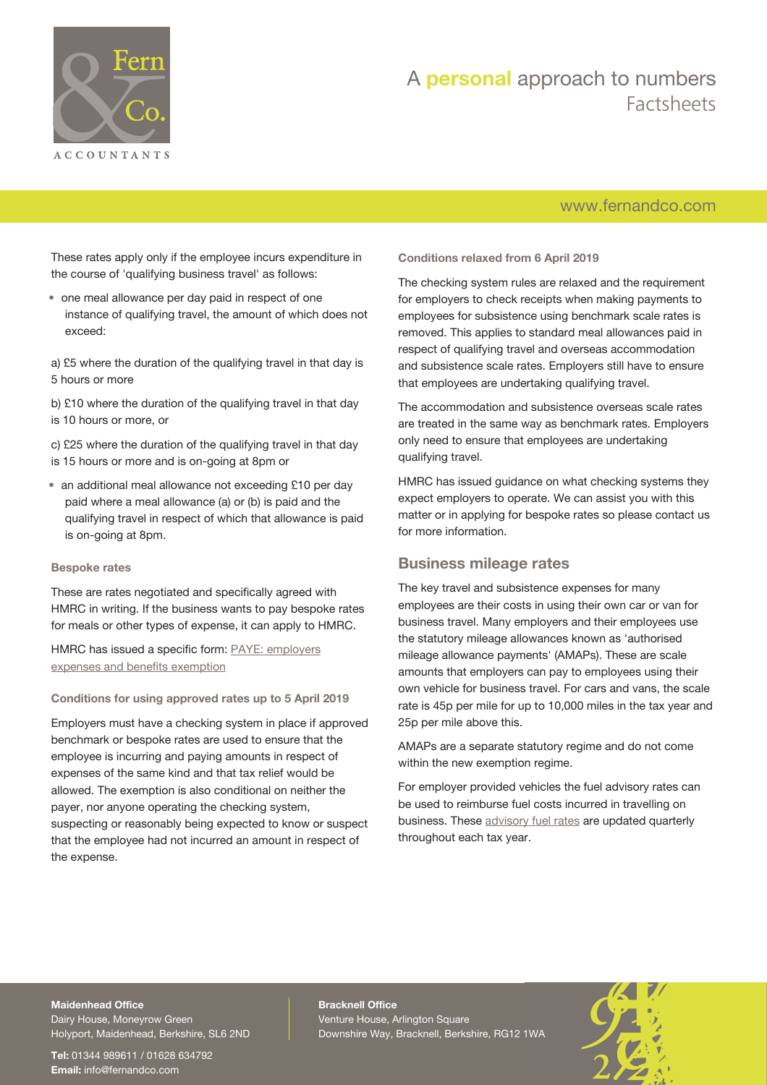

# A **personal** approach to numbers Factsheets

# [www.fernandco.com](http://www.fernandco.com)

These rates apply only if the employee incurs expenditure in the course of 'qualifying business travel' as follows:

• one meal allowance per day paid in respect of one instance of qualifying travel, the amount of which does not exceed:

a) £5 where the duration of the qualifying travel in that day is 5 hours or more

b) £10 where the duration of the qualifying travel in that day is 10 hours or more, or

c) £25 where the duration of the qualifying travel in that day is 15 hours or more and is on-going at 8pm or

• an additional meal allowance not exceeding £10 per day paid where a meal allowance (a) or (b) is paid and the qualifying travel in respect of which that allowance is paid is on-going at 8pm.

#### **Bespoke rates**

These are rates negotiated and specifically agreed with HMRC in writing. If the business wants to pay bespoke rates for meals or other types of expense, it can apply to HMRC.

HMRC has issued a specific form: [PAYE: employers](https://www.gov.uk/government/publications/paye-employer-expenses-and-benefits-exemption) [expenses and benefits exemption](https://www.gov.uk/government/publications/paye-employer-expenses-and-benefits-exemption)

**Conditions for using approved rates up to 5 April 2019**

Employers must have a checking system in place if approved benchmark or bespoke rates are used to ensure that the employee is incurring and paying amounts in respect of expenses of the same kind and that tax relief would be allowed. The exemption is also conditional on neither the payer, nor anyone operating the checking system, suspecting or reasonably being expected to know or suspect that the employee had not incurred an amount in respect of the expense.

**Conditions relaxed from 6 April 2019**

The checking system rules are relaxed and the requirement for employers to check receipts when making payments to employees for subsistence using benchmark scale rates is removed. This applies to standard meal allowances paid in respect of qualifying travel and overseas accommodation and subsistence scale rates. Employers still have to ensure that employees are undertaking qualifying travel.

The accommodation and subsistence overseas scale rates are treated in the same way as benchmark rates. Employers only need to ensure that employees are undertaking qualifying travel.

HMRC has issued guidance on what checking systems they expect employers to operate. We can assist you with this matter or in applying for bespoke rates so please contact us for more information.

### **Business mileage rates**

The key travel and subsistence expenses for many employees are their costs in using their own car or van for business travel. Many employers and their employees use the statutory mileage allowances known as 'authorised mileage allowance payments' (AMAPs). These are scale amounts that employers can pay to employees using their own vehicle for business travel. For cars and vans, the scale rate is 45p per mile for up to 10,000 miles in the tax year and 25p per mile above this.

AMAPs are a separate statutory regime and do not come within the new exemption regime.

For employer provided vehicles the fuel advisory rates can be used to reimburse fuel costs incurred in travelling on business. These [advisory fuel rates](https://www.gov.uk/government/publications/advisory-fuel-rates) are updated quarterly throughout each tax year.

## **Maidenhead Office**

Dairy House, Moneyrow Green Holyport, Maidenhead, Berkshire, SL6 2ND

**Tel:** 01344 989611 / 01628 634792 **Email:** [info@fernandco.com](mailto:info@fernandco.com)

**Bracknell Office** Venture House, Arlington Square Downshire Way, Bracknell, Berkshire, RG12 1WA